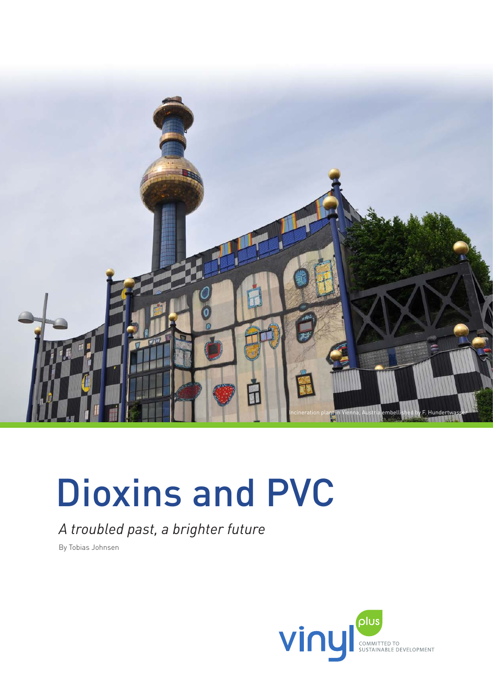

# Dioxins and PVC

# *A troubled past, a brighter future*

By Tobias Johnsen

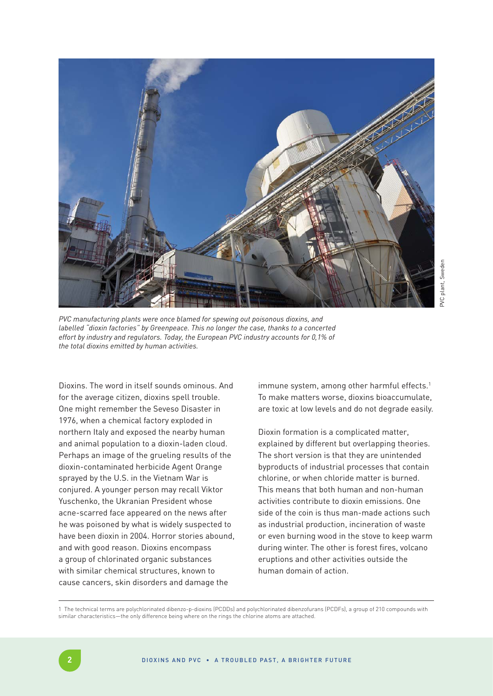

*PVC manufacturing plants were once blamed for spewing out poisonous dioxins, and labelled "dioxin factories" by Greenpeace. This no longer the case, thanks to a concerted effort by industry and regulators. Today, the European PVC industry accounts for 0,1% of the total dioxins emitted by human activities.*

Dioxins. The word in itself sounds ominous. And for the average citizen, dioxins spell trouble. One might remember the Seveso Disaster in 1976, when a chemical factory exploded in northern Italy and exposed the nearby human and animal population to a dioxin-laden cloud. Perhaps an image of the grueling results of the dioxin-contaminated herbicide Agent Orange sprayed by the U.S. in the Vietnam War is conjured. A younger person may recall Viktor Yuschenko, the Ukranian President whose acne-scarred face appeared on the news after he was poisoned by what is widely suspected to have been dioxin in 2004. Horror stories abound, and with good reason. Dioxins encompass a group of chlorinated organic substances with similar chemical structures, known to cause cancers, skin disorders and damage the

immune system, among other harmful effects.<sup>1</sup> To make matters worse, dioxins bioaccumulate, are toxic at low levels and do not degrade easily.

Dioxin formation is a complicated matter, explained by different but overlapping theories. The short version is that they are unintended byproducts of industrial processes that contain chlorine, or when chloride matter is burned. This means that both human and non-human activities contribute to dioxin emissions. One side of the coin is thus man-made actions such as industrial production, incineration of waste or even burning wood in the stove to keep warm during winter. The other is forest fires, volcano eruptions and other activities outside the human domain of action.

1 The technical terms are polychlorinated dibenzo-p-dioxins (PCDDs) and polychlorinated dibenzofurans (PCDFs), a group of 210 compounds with similar characteristics—the only difference being where on the rings the chlorine atoms are attached.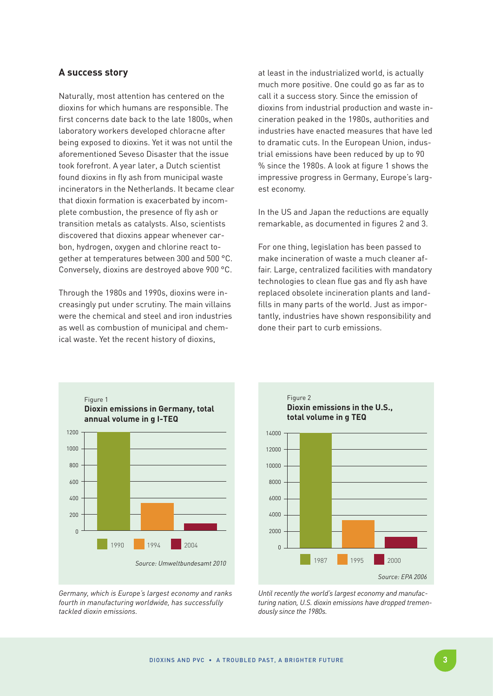# **A success story**

Naturally, most attention has centered on the dioxins for which humans are responsible. The first concerns date back to the late 1800s, when laboratory workers developed chloracne after being exposed to dioxins. Yet it was not until the aforementioned Seveso Disaster that the issue took forefront. A year later, a Dutch scientist found dioxins in fly ash from municipal waste incinerators in the Netherlands. It became clear that dioxin formation is exacerbated by incomplete combustion, the presence of fly ash or transition metals as catalysts. Also, scientists discovered that dioxins appear whenever carbon, hydrogen, oxygen and chlorine react together at temperatures between 300 and 500 °C. Conversely, dioxins are destroyed above 900 °C.

Through the 1980s and 1990s, dioxins were increasingly put under scrutiny. The main villains were the chemical and steel and iron industries as well as combustion of municipal and chemical waste. Yet the recent history of dioxins,

at least in the industrialized world, is actually much more positive. One could go as far as to call it a success story. Since the emission of dioxins from industrial production and waste incineration peaked in the 1980s, authorities and industries have enacted measures that have led to dramatic cuts. In the European Union, industrial emissions have been reduced by up to 90 % since the 1980s. A look at figure 1 shows the impressive progress in Germany, Europe's largest economy.

In the US and Japan the reductions are equally remarkable, as documented in figures 2 and 3.

For one thing, legislation has been passed to make incineration of waste a much cleaner affair. Large, centralized facilities with mandatory technologies to clean flue gas and fly ash have replaced obsolete incineration plants and landfills in many parts of the world. Just as importantly, industries have shown responsibility and done their part to curb emissions.



*Germany, which is Europe's largest economy and ranks fourth in manufacturing worldwide, has successfully tackled dioxin emissions.*



*Until recently the world's largest economy and manufacturing nation, U.S. dioxin emissions have dropped tremendously since the 1980s.*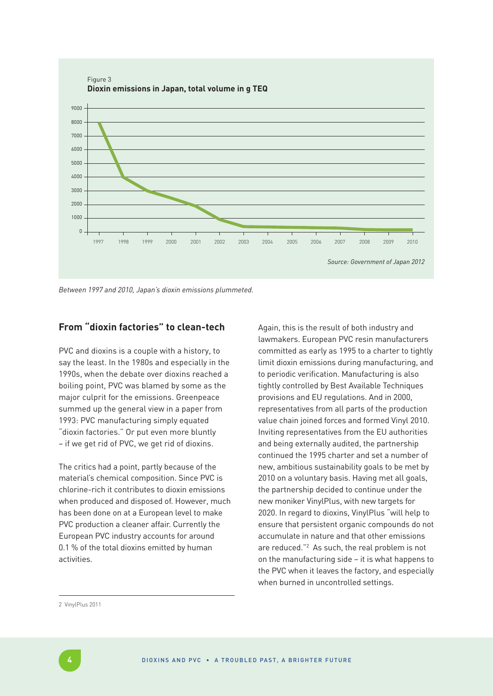

*Between 1997 and 2010, Japan's dioxin emissions plummeted.* 

# **From "dioxin factories" to clean-tech**

PVC and dioxins is a couple with a history, to say the least. In the 1980s and especially in the 1990s, when the debate over dioxins reached a boiling point, PVC was blamed by some as the major culprit for the emissions. Greenpeace summed up the general view in a paper from 1993: PVC manufacturing simply equated "dioxin factories." Or put even more bluntly – if we get rid of PVC, we get rid of dioxins.

The critics had a point, partly because of the material's chemical composition. Since PVC is chlorine-rich it contributes to dioxin emissions when produced and disposed of. However, much has been done on at a European level to make PVC production a cleaner affair. Currently the European PVC industry accounts for around 0.1 % of the total dioxins emitted by human activities.

Again, this is the result of both industry and lawmakers. European PVC resin manufacturers committed as early as 1995 to a charter to tightly limit dioxin emissions during manufacturing, and to periodic verification. Manufacturing is also tightly controlled by Best Available Techniques provisions and EU regulations. And in 2000, representatives from all parts of the production value chain joined forces and formed Vinyl 2010. Inviting representatives from the EU authorities and being externally audited, the partnership continued the 1995 charter and set a number of new, ambitious sustainability goals to be met by 2010 on a voluntary basis. Having met all goals, the partnership decided to continue under the new moniker VinylPlus, with new targets for 2020. In regard to dioxins, VinylPlus "will help to ensure that persistent organic compounds do not accumulate in nature and that other emissions are reduced."2 As such, the real problem is not on the manufacturing side – it is what happens to the PVC when it leaves the factory, and especially when burned in uncontrolled settings.

2 VinylPlus 2011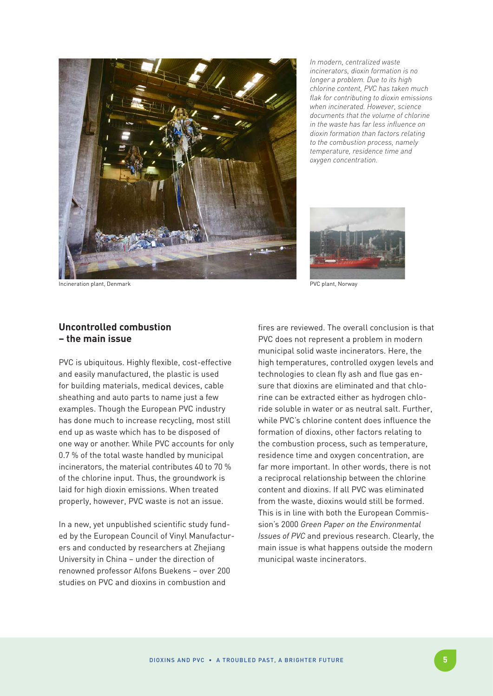

*In modern, centralized waste incinerators, dioxin formation is no longer a problem. Due to its high chlorine content, PVC has taken much flak for contributing to dioxin emissions when incinerated. However, science documents that the volume of chlorine in the waste has far less influence on dioxin formation than factors relating to the combustion process, namely temperature, residence time and oxygen concentration.*



PVC plant, Norway

Incineration plant, Denmark

## **Uncontrolled combustion – the main issue**

PVC is ubiquitous. Highly flexible, cost-effective and easily manufactured, the plastic is used for building materials, medical devices, cable sheathing and auto parts to name just a few examples. Though the European PVC industry has done much to increase recycling, most still end up as waste which has to be disposed of one way or another. While PVC accounts for only 0.7 % of the total waste handled by municipal incinerators, the material contributes 40 to 70 % of the chlorine input. Thus, the groundwork is laid for high dioxin emissions. When treated properly, however, PVC waste is not an issue.

In a new, yet unpublished scientific study funded by the European Council of Vinyl Manufacturers and conducted by researchers at Zhejiang University in China – under the direction of renowned professor Alfons Buekens – over 200 studies on PVC and dioxins in combustion and

fires are reviewed. The overall conclusion is that PVC does not represent a problem in modern municipal solid waste incinerators. Here, the high temperatures, controlled oxygen levels and technologies to clean fly ash and flue gas ensure that dioxins are eliminated and that chlorine can be extracted either as hydrogen chloride soluble in water or as neutral salt. Further, while PVC's chlorine content does influence the formation of dioxins, other factors relating to the combustion process, such as temperature, residence time and oxygen concentration, are far more important. In other words, there is not a reciprocal relationship between the chlorine content and dioxins. If all PVC was eliminated from the waste, dioxins would still be formed. This is in line with both the European Commission's 2000 *Green Paper on the Environmental Issues of PVC* and previous research. Clearly, the main issue is what happens outside the modern municipal waste incinerators.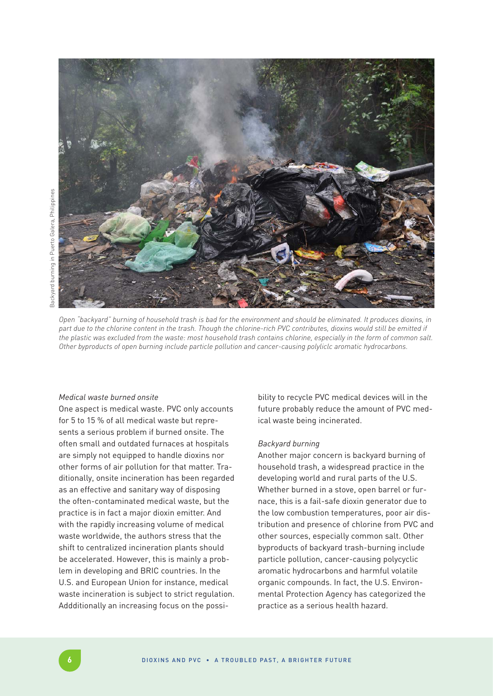



*Open "backyard" burning of household trash is bad for the environment and should be eliminated. It produces dioxins, in part due to the chlorine content in the trash. Though the chlorine-rich PVC contributes, dioxins would still be emitted if the plastic was excluded from the waste: most household trash contains chlorine, especially in the form of common salt. Other byproducts of open burning include particle pollution and cancer-causing polyliclc aromatic hydrocarbons.*

#### *Medical waste burned onsite*

One aspect is medical waste. PVC only accounts for 5 to 15 % of all medical waste but represents a serious problem if burned onsite. The often small and outdated furnaces at hospitals are simply not equipped to handle dioxins nor other forms of air pollution for that matter. Traditionally, onsite incineration has been regarded as an effective and sanitary way of disposing the often-contaminated medical waste, but the practice is in fact a major dioxin emitter. And with the rapidly increasing volume of medical waste worldwide, the authors stress that the shift to centralized incineration plants should be accelerated. However, this is mainly a problem in developing and BRIC countries. In the U.S. and European Union for instance, medical waste incineration is subject to strict regulation. Addditionally an increasing focus on the possibility to recycle PVC medical devices will in the future probably reduce the amount of PVC medical waste being incinerated.

#### *Backyard burning*

Another major concern is backyard burning of household trash, a widespread practice in the developing world and rural parts of the U.S. Whether burned in a stove, open barrel or furnace, this is a fail-safe dioxin generator due to the low combustion temperatures, poor air distribution and presence of chlorine from PVC and other sources, especially common salt. Other byproducts of backyard trash-burning include particle pollution, cancer-causing polycyclic aromatic hydrocarbons and harmful volatile organic compounds. In fact, the U.S. Environmental Protection Agency has categorized the practice as a serious health hazard.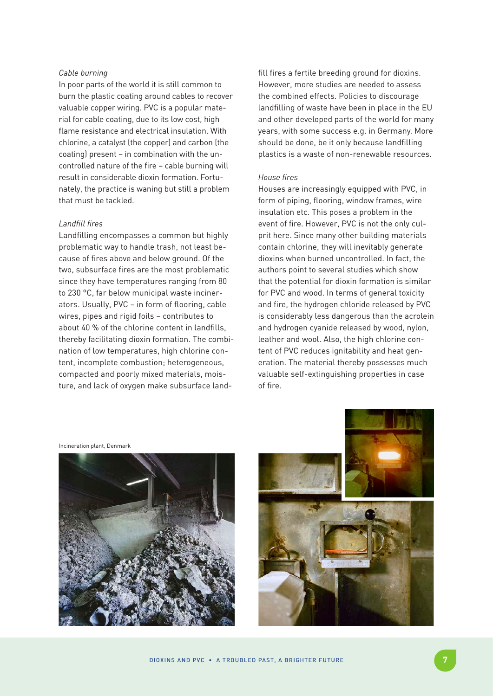#### *Cable burning*

In poor parts of the world it is still common to burn the plastic coating around cables to recover valuable copper wiring. PVC is a popular material for cable coating, due to its low cost, high flame resistance and electrical insulation. With chlorine, a catalyst (the copper) and carbon (the coating) present – in combination with the uncontrolled nature of the fire – cable burning will result in considerable dioxin formation. Fortunately, the practice is waning but still a problem that must be tackled.

## *Landfill fires*

Landfilling encompasses a common but highly problematic way to handle trash, not least because of fires above and below ground. Of the two, subsurface fires are the most problematic since they have temperatures ranging from 80 to 230 °C, far below municipal waste incinerators. Usually, PVC – in form of flooring, cable wires, pipes and rigid foils – contributes to about 40 % of the chlorine content in landfills, thereby facilitating dioxin formation. The combination of low temperatures, high chlorine content, incomplete combustion; heterogeneous, compacted and poorly mixed materials, moisture, and lack of oxygen make subsurface landfill fires a fertile breeding ground for dioxins. However, more studies are needed to assess the combined effects. Policies to discourage landfilling of waste have been in place in the EU and other developed parts of the world for many years, with some success e.g. in Germany. More should be done, be it only because landfilling plastics is a waste of non-renewable resources.

# *House fires*

Houses are increasingly equipped with PVC, in form of piping, flooring, window frames, wire insulation etc. This poses a problem in the event of fire. However, PVC is not the only culprit here. Since many other building materials contain chlorine, they will inevitably generate dioxins when burned uncontrolled. In fact, the authors point to several studies which show that the potential for dioxin formation is similar for PVC and wood. In terms of general toxicity and fire, the hydrogen chloride released by PVC is considerably less dangerous than the acrolein and hydrogen cyanide released by wood, nylon, leather and wool. Also, the high chlorine content of PVC reduces ignitability and heat generation. The material thereby possesses much valuable self-extinguishing properties in case of fire.

Incineration plant, Denmark